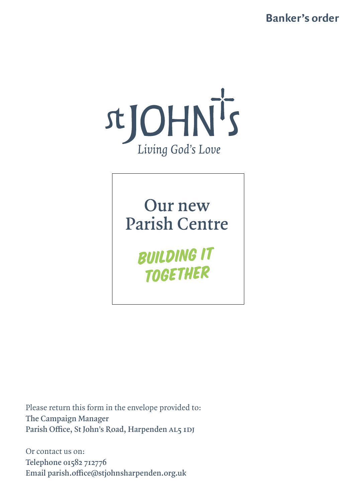**Banker's order**



Our new **Parish Centre** 

> **BUILDING IT TOGETHER**

Please return this form in the envelope provided to: **The Campaign Manager Parish Office, St John's Road, Harpenden AL5 1DJ**

Or contact us on: **Telephone 01582 712776 Email parish.office@stjohnsharpenden.org.uk**